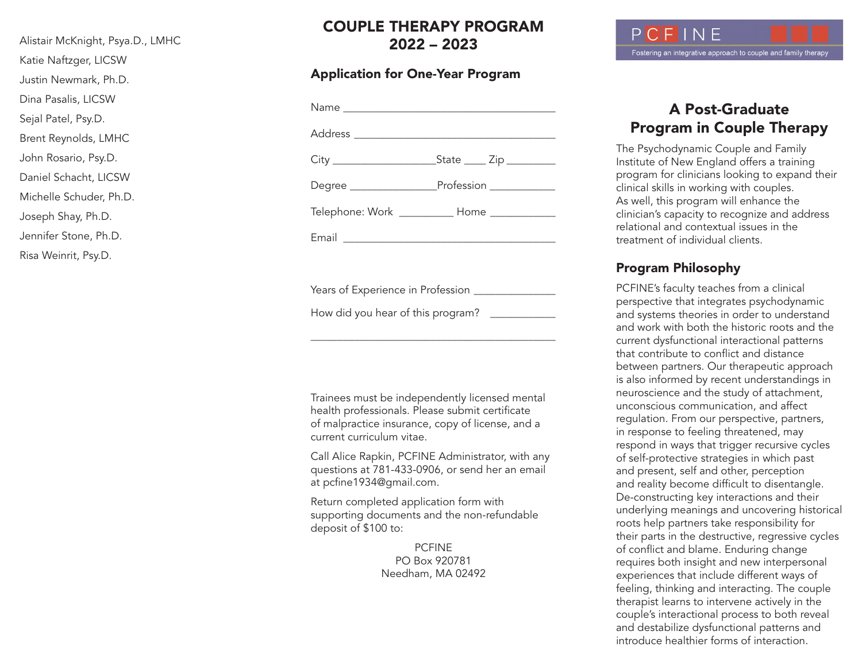Alistair McKnight, Psya.D., LMHC Katie Naftzger, LICSW Justin Newmark, Ph.D. Dina Pasalis, LICSW Sejal Patel, Psy.D. Brent Reynolds, LMHC John Rosario, Psy.D. Daniel Schacht, LICSW Michelle Schuder, Ph.D. Joseph Shay, Ph.D. Jennifer Stone, Ph.D.

Risa Weinrit, Psy.D.

COUPLE THERAPY PROGRAM 2022 – 2023

#### Application for One-Year Program

| Degree ________________________Profession _______________ |
|-----------------------------------------------------------|
| Telephone: Work ___________ Home ____________             |
|                                                           |

Years of Experience in Profession

How did you hear of this program? \_\_\_\_\_\_\_\_\_\_\_\_

Trainees must be independently licensed mental health professionals. Please submit certificate of malpractice insurance, copy of license, and a current curriculum vitae.

\_\_\_\_\_\_\_\_\_\_\_\_\_\_\_\_\_\_\_\_\_\_\_\_\_\_\_\_\_\_\_\_\_\_\_\_\_\_\_\_\_\_\_\_\_

Call Alice Rapkin, PCFINE Administrator, with any questions at 781-433-0906, or send her an email at pcfine1934@gmail.com.

Return completed application form with supporting documents and the non-refundable deposit of \$100 to:

> PCFINE PO Box 920781 Needham, MA 02492



# A Post-Graduate Program in Couple Therapy

The Psychodynamic Couple and Family Institute of New England offers a training program for clinicians looking to expand their clinical skills in working with couples. As well, this program will enhance the clinician's capacity to recognize and address relational and contextual issues in the treatment of individual clients.

#### Program Philosophy

PCFINE's faculty teaches from a clinical perspective that integrates psychodynamic and systems theories in order to understand and work with both the historic roots and the current dysfunctional interactional patterns that contribute to conflict and distance between partners. Our therapeutic approach is also informed by recent understandings in neuroscience and the study of attachment, unconscious communication, and affect regulation. From our perspective, partners, in response to feeling threatened, may respond in ways that trigger recursive cycles of self-protective strategies in which past and present, self and other, perception and reality become difficult to disentangle. De-constructing key interactions and their underlying meanings and uncovering historical roots help partners take responsibility for their parts in the destructive, regressive cycles of conflict and blame. Enduring change requires both insight and new interpersonal experiences that include different ways of feeling, thinking and interacting. The couple therapist learns to intervene actively in the couple's interactional process to both reveal and destabilize dysfunctional patterns and introduce healthier forms of interaction.